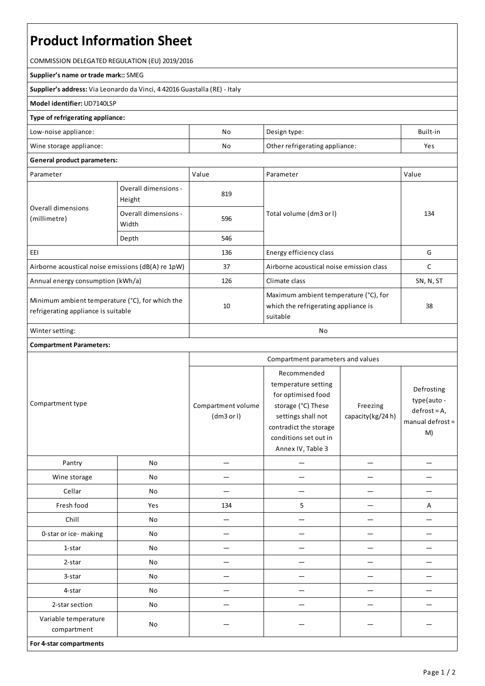# **Product Information Sheet**

COMMISSION DELEGATED REGULATION (EU) 2019/2016

#### **Supplier's name or trade mark::**SMEG

**Supplier's address:** ViaLeonardo da Vinci, 4 42016 Guastalla(RE) - Italy

### **Model identifier:** UD7140LSP

## **Type of refrigerating appliance:**

| Low-noise appliance:    | No                                   | Design type: | Built-in |
|-------------------------|--------------------------------------|--------------|----------|
| Wine storage appliance: | No<br>Other refrigerating appliance: |              | Yes      |

### **General product parameters:**

| Parameter                                                                              |                                | Value | Parameter                                                                                 | Value     |
|----------------------------------------------------------------------------------------|--------------------------------|-------|-------------------------------------------------------------------------------------------|-----------|
| Overall dimensions<br>(millimetre)                                                     | Overall dimensions -<br>Height | 819   |                                                                                           | 134       |
|                                                                                        | Overall dimensions -<br>Width  | 596   | Total volume (dm3 or I)                                                                   |           |
|                                                                                        | Depth                          | 546   |                                                                                           |           |
| EEI                                                                                    |                                | 136   | Energy efficiency class                                                                   | G         |
| Airborne acoustical noise emissions (dB(A) re 1pW)                                     |                                | 37    | Airborne acoustical noise emission class                                                  | C         |
| Annual energy consumption (kWh/a)                                                      |                                | 126   | Climate class                                                                             | SN, N, ST |
| Minimum ambient temperature (°C), for which the<br>refrigerating appliance is suitable |                                | 10    | Maximum ambient temperature (°C), for<br>which the refrigerating appliance is<br>suitable | 38        |
| Winter setting:                                                                        |                                | No    |                                                                                           |           |

# **Compartment Parameters:**

| Compartment type                    |     | Compartment parameters and values |                                                                                                                                                                              |                              |                                                                        |
|-------------------------------------|-----|-----------------------------------|------------------------------------------------------------------------------------------------------------------------------------------------------------------------------|------------------------------|------------------------------------------------------------------------|
|                                     |     | Compartment volume<br>(dm3 or l)  | Recommended<br>temperature setting<br>for optimised food<br>storage (°C) These<br>settings shall not<br>contradict the storage<br>conditions set out in<br>Annex IV, Table 3 | Freezing<br>capacity(kg/24h) | Defrosting<br>type(auto-<br>$defrost = A,$<br>manual defrost $=$<br>M) |
| Pantry                              | No  |                                   |                                                                                                                                                                              |                              |                                                                        |
| Wine storage                        | No  |                                   |                                                                                                                                                                              |                              |                                                                        |
| Cellar                              | No  |                                   |                                                                                                                                                                              |                              |                                                                        |
| Fresh food                          | Yes | 134                               | 5                                                                                                                                                                            |                              | Α                                                                      |
| Chill                               | No  |                                   |                                                                                                                                                                              |                              |                                                                        |
| 0-star or ice-making                | No  |                                   |                                                                                                                                                                              |                              |                                                                        |
| 1-star                              | No  |                                   |                                                                                                                                                                              |                              |                                                                        |
| 2-star                              | No  |                                   |                                                                                                                                                                              |                              |                                                                        |
| 3-star                              | No  |                                   |                                                                                                                                                                              |                              |                                                                        |
| 4-star                              | No  |                                   |                                                                                                                                                                              |                              |                                                                        |
| 2-star section                      | No  |                                   |                                                                                                                                                                              |                              |                                                                        |
| Variable temperature<br>compartment | No  |                                   |                                                                                                                                                                              |                              |                                                                        |
| For 4-star compartments             |     |                                   |                                                                                                                                                                              |                              |                                                                        |